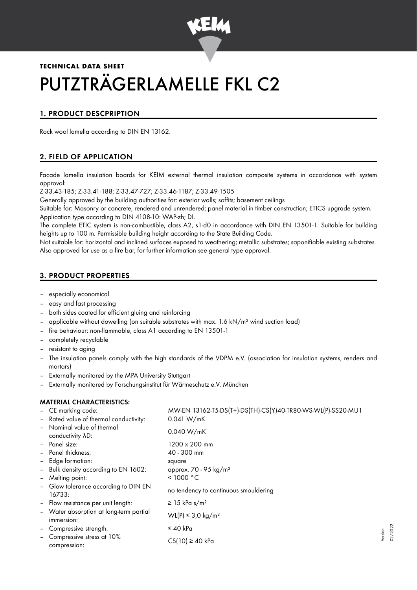

# **TECHNICAL DATA SHEET** PUTZTRÄGERLAMELLE FKL C2

# 1. PRODUCT DESCPRIPTION

Rock wool lamella according to DIN EN 13162.

# 2. FIELD OF APPLICATION

Facade lamella insulation boards for KEIM external thermal insulation composite systems in accordance with system approval:

Z-33.43-185; Z-33.41-188; Z-33.47-727; Z-33.46-1187; Z-33.49-1505

Generally approved by the building authorities for: exterior walls; soffits; basement ceilings

Suitable for: Masonry or concrete, rendered and unrendered; panel material in timber construction; ETICS upgrade system. Application type according to DIN 4108-10: WAP-zh; DI.

The complete ETIC system is non-combustible, class A2, s1-d0 in accordance with DIN EN 13501-1. Suitable for building heights up to 100 m. Permissible building height according to the State Building Code.

Not suitable for: horizontal and inclined surfaces exposed to weathering; metallic substrates; saponifiable existing substrates Also approved for use as a fire bar, for further information see general type approval.

# 3. PRODUCT PROPERTIES

- especially economical
- easy and fast processing
- both sides coated for efficient gluing and reinforcing
- applicable without dowelling (on suitable substrates with max.  $1.6$  kN/m<sup>2</sup> wind suction load)
- fire behaviour: non-flammable, class A1 according to EN 13501-1
- completely recyclable
- resistant to aging
- The insulation panels comply with the high standards of the VDPM e.V. (association for insulation systems, renders and mortars)
- Externally monitored by the MPA University Stuttgart
- Externally monitored by Forschungsinstitut für Wärmeschutz e.V. München

## MATERIAL CHARACTERISTICS:

|                   | - CE marking code:                                    | MW-EN 13162-T5-DS(T+)-DS(TH)-CS(Y)40-TR80-WS-WL(P)-SS20-MU1 |
|-------------------|-------------------------------------------------------|-------------------------------------------------------------|
|                   | - Rated value of thermal conductivity:                | 0.041 W/mK                                                  |
| $\blacksquare$    | Nominal value of thermal<br>conductivity AD:          | 0.040 W/mK                                                  |
|                   | - Panel size:                                         | $1200 \times 200$ mm                                        |
|                   | - Panel thickness:                                    | 40 - 300 mm                                                 |
|                   | - Edge formation:                                     | square                                                      |
|                   | - Bulk density according to EN 1602:                  | approx. 70 - 95 kg/m <sup>3</sup>                           |
| $\blacksquare$    | Melting point:                                        | < 1000 °C                                                   |
|                   | - Glow tolerance according to DIN EN<br>16733:        | no tendency to continuous smouldering                       |
|                   | - Flow resistance per unit length:                    | $\geq$ 15 kPa s/m <sup>2</sup>                              |
|                   | - Water absorption at long-term partial<br>immersion: | WL(P) ≤ 3,0 kg/m <sup>2</sup>                               |
| $\sim$            | Compressive strength:                                 | $\leq 40$ kPa                                               |
| $\qquad \qquad -$ | Compressive stress at 10%<br>compression:             | $CS(10) \ge 40$ kPa                                         |

Version 02/2022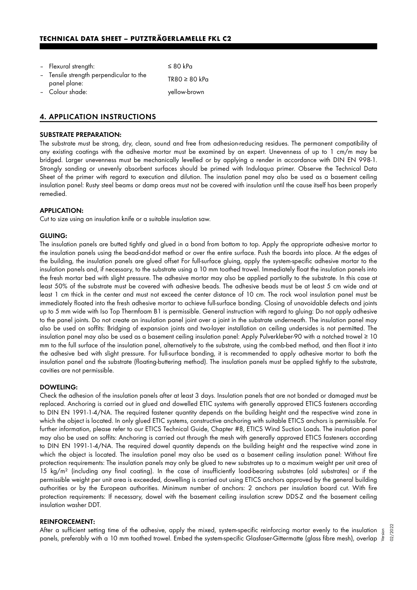| - Flexural strength:                                    | $\leq 80$ kPa      |
|---------------------------------------------------------|--------------------|
| - Tensile strength perpendicular to the<br>panel plane: | $TR80 \geq 80$ kPa |
| - Colour shade:                                         | yellow-brown       |

## 4. APPLICATION INSTRUCTIONS

## SUBSTRATE PREPARATION:

The substrate must be strong, dry, clean, sound and free from adhesion-reducing residues. The permanent compatibility of any existing coatings with the adhesive mortar must be examined by an expert. Unevenness of up to 1 cm/m may be bridged. Larger unevenness must be mechanically levelled or by applying a render in accordance with DIN EN 998-1. Strongly sanding or unevenly absorbent surfaces should be primed with Indulaqua primer. Observe the Technical Data Sheet of the primer with regard to execution and dilution. The insulation panel may also be used as a basement ceiling insulation panel: Rusty steel beams or damp areas must not be covered with insulation until the cause itself has been properly remedied.

#### APPLICATION:

Cut to size using an insulation knife or a suitable insulation saw.

#### GLUING:

The insulation panels are butted tightly and glued in a bond from bottom to top. Apply the appropriate adhesive mortar to the insulation panels using the bead-and-dot method or over the entire surface. Push the boards into place. At the edges of the building, the insulation panels are glued offset For full-surface gluing, apply the system-specific adhesive mortar to the insulation panels and, if necessary, to the substrate using a 10 mm toothed trowel. Immediately float the insulation panels into the fresh mortar bed with slight pressure. The adhesive mortar may also be applied partially to the substrate. In this case at least 50% of the substrate must be covered with adhesive beads. The adhesive beads must be at least 5 cm wide and at least 1 cm thick in the center and must not exceed the center distance of 10 cm. The rock wool insulation panel must be immediately floated into the fresh adhesive mortar to achieve full-surface bonding. Closing of unavoidable defects and joints up to 5 mm wide with Iso Top Thermfoam B1 is permissible. General instruction with regard to gluing: Do not apply adhesive to the panel joints. Do not create an insulation panel joint over a joint in the substrate underneath. The insulation panel may also be used on soffits: Bridging of expansion joints and two-layer installation on ceiling undersides is not permitted. The insulation panel may also be used as a basement ceiling insulation panel: Apply Pulverkleber-90 with a notched trowel ≥ 10 mm to the full surface of the insulation panel, alternatively to the substrate, using the comb-bed method, and then float it into the adhesive bed with slight pressure. For full-surface bonding, it is recommended to apply adhesive mortar to both the insulation panel and the substrate (floating-buttering method). The insulation panels must be applied tightly to the substrate, cavities are not permissible.

#### DOWELING:

Check the adhesion of the insulation panels after at least 3 days. Insulation panels that are not bonded or damaged must be replaced. Anchoring is carried out in glued and dowelled ETIC systems with generally approved ETICS fasteners according to DIN EN 1991-1-4/NA. The required fastener quantity depends on the building height and the respective wind zone in which the object is located. In only glued ETIC systems, constructive anchoring with suitable ETICS anchors is permissible. For further information, please refer to our ETICS Technical Guide, Chapter #8, ETICS Wind Suction Loads. The insulation panel may also be used on soffits: Anchoring is carried out through the mesh with generally approved ETICS fasteners according to DIN EN 1991-1-4/NA. The required dowel quantity depends on the building height and the respective wind zone in which the object is located. The insulation panel may also be used as a basement ceiling insulation panel: Without fire protection requirements: The insulation panels may only be glued to new substrates up to a maximum weight per unit area of 15 kg/m<sup>2</sup> (including any final coating). In the case of insufficiently load-bearing substrates (old substrates) or if the permissible weight per unit area is exceeded, dowelling is carried out using ETICS anchors approved by the general building authorities or by the European authorities. Minimum number of anchors: 2 anchors per insulation board cut. With fire protection requirements: If necessary, dowel with the basement ceiling insulation screw DDS-Z and the basement ceiling insulation washer DDT.

#### REINFORCEMENT:

After a sufficient setting time of the adhesive, apply the mixed, system-specific reinforcing mortar evenly to the insulation ﷺ<br>"panels, preferably with a 10 mm toothed trowel. Embed the system-specific Glasfaser-Gittermat panels, preferably with a 10 mm toothed trowel. Embed the system-specific Glasfaser-Gittermatte (glass fibre mesh), overlap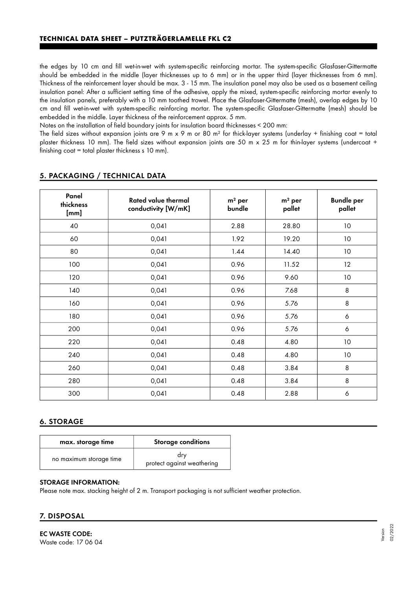the edges by 10 cm and fill wet-in-wet with system-specific reinforcing mortar. The system-specific Glasfaser-Gittermatte should be embedded in the middle (layer thicknesses up to 6 mm) or in the upper third (layer thicknesses from 6 mm). Thickness of the reinforcement layer should be max. 3 - 15 mm. The insulation panel may also be used as a basement ceiling insulation panel: After a sufficient setting time of the adhesive, apply the mixed, system-specific reinforcing mortar evenly to the insulation panels, preferably with a 10 mm toothed trowel. Place the Glasfaser-Gittermatte (mesh), overlap edges by 10 cm and fill wet-in-wet with system-specific reinforcing mortar. The system-specific Glasfaser-Gittermatte (mesh) should be embedded in the middle. Layer thickness of the reinforcement approx. 5 mm.

Notes on the installation of field boundary joints for insulation board thicknesses < 200 mm:

The field sizes without expansion joints are 9 m x 9 m or 80 m<sup>2</sup> for thick-layer systems (underlay + finishing coat = total plaster thickness 10 mm). The field sizes without expansion joints are 50 m x 25 m for thin-layer systems (undercoat + finishing coat = total plaster thickness s 10 mm).

| Panel<br>thickness<br>[mm] | <b>Rated value thermal</b><br>conductivity [W/mK] | $m2$ per<br>bundle | $m2$ per<br>pallet | <b>Bundle per</b><br>pallet |
|----------------------------|---------------------------------------------------|--------------------|--------------------|-----------------------------|
| 40                         | 0,041                                             | 2.88               | 28.80              | 10 <sup>°</sup>             |
| 60                         | 0,041                                             | 1.92               | 19.20              | 10                          |
| 80                         | 0,041                                             | 1.44               | 14.40              | 10                          |
| 100                        | 0,041                                             | 0.96               | 11.52              | 12                          |
| 120                        | 0,041                                             | 0.96               | 9.60               | 10                          |
| 140                        | 0,041                                             | 0.96               | 7.68               | 8                           |
| 160                        | 0,041                                             | 0.96               | 5.76               | 8                           |
| 180                        | 0,041                                             | 0.96               | 5.76               | 6                           |
| 200                        | 0,041                                             | 0.96               | 5.76               | 6                           |
| 220                        | 0,041                                             | 0.48               | 4.80               | 10                          |
| 240                        | 0,041                                             | 0.48               | 4.80               | 10                          |
| 260                        | 0,041                                             | 0.48               | 3.84               | 8                           |
| 280                        | 0,041                                             | 0.48               | 3.84               | 8                           |
| 300                        | 0,041                                             | 0.48               | 2.88               | 6                           |

## 5. PACKAGING / TECHNICAL DATA

## 6. STORAGE

| max. storage time       | Storage conditions                |
|-------------------------|-----------------------------------|
| no maximum storage time | dry<br>protect against weathering |

### STORAGE INFORMATION:

Please note max. stacking height of 2 m. Transport packaging is not sufficient weather protection.

#### 7. DISPOSAL

EC WASTE CODE: Waste code: 17 06 04